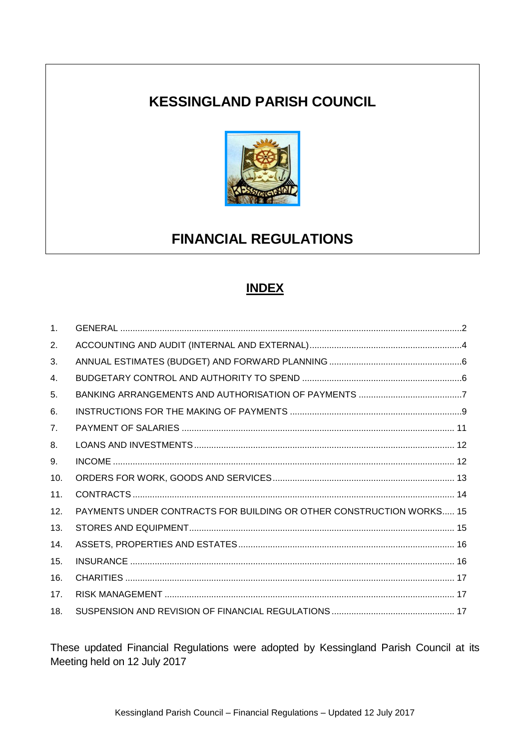## **KESSINGLAND PARISH COUNCIL**



# **FINANCIAL REGULATIONS**

## **INDEX**

| $\mathbf{1}$ . |                                                                      |
|----------------|----------------------------------------------------------------------|
| 2.             |                                                                      |
| 3.             |                                                                      |
| 4.             |                                                                      |
| 5.             |                                                                      |
| 6.             |                                                                      |
| 7 <sub>1</sub> |                                                                      |
| 8.             |                                                                      |
| 9.             |                                                                      |
| 10.            |                                                                      |
| 11.            |                                                                      |
| 12.            | PAYMENTS UNDER CONTRACTS FOR BUILDING OR OTHER CONSTRUCTION WORKS 15 |
| 13.            |                                                                      |
| 14.            |                                                                      |
| 15.            |                                                                      |
| 16.            |                                                                      |
| 17.            |                                                                      |
| 18.            |                                                                      |

These updated Financial Regulations were adopted by Kessingland Parish Council at its Meeting held on 12 July 2017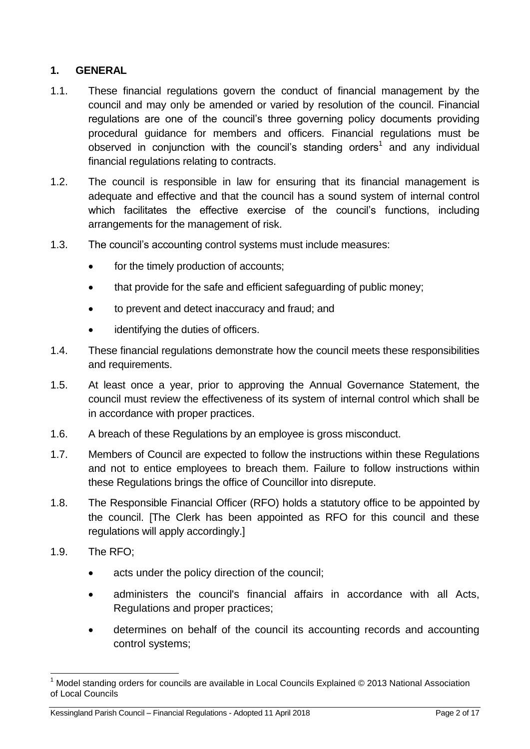## <span id="page-1-0"></span>**1. GENERAL**

- 1.1. These financial regulations govern the conduct of financial management by the council and may only be amended or varied by resolution of the council. Financial regulations are one of the council's three governing policy documents providing procedural guidance for members and officers. Financial regulations must be observed in conjunction with the council's standing orders<sup>1</sup> and any individual financial regulations relating to contracts.
- 1.2. The council is responsible in law for ensuring that its financial management is adequate and effective and that the council has a sound system of internal control which facilitates the effective exercise of the council's functions, including arrangements for the management of risk.
- 1.3. The council's accounting control systems must include measures:
	- for the timely production of accounts;
	- that provide for the safe and efficient safeguarding of public money;
	- to prevent and detect inaccuracy and fraud; and
	- identifying the duties of officers.
- 1.4. These financial regulations demonstrate how the council meets these responsibilities and requirements.
- 1.5. At least once a year, prior to approving the Annual Governance Statement, the council must review the effectiveness of its system of internal control which shall be in accordance with proper practices.
- 1.6. A breach of these Regulations by an employee is gross misconduct.
- 1.7. Members of Council are expected to follow the instructions within these Regulations and not to entice employees to breach them. Failure to follow instructions within these Regulations brings the office of Councillor into disrepute.
- 1.8. The Responsible Financial Officer (RFO) holds a statutory office to be appointed by the council. [The Clerk has been appointed as RFO for this council and these regulations will apply accordingly.]
- 1.9. The RFO;
	- acts under the policy direction of the council;
	- administers the council's financial affairs in accordance with all Acts, Regulations and proper practices;
	- determines on behalf of the council its accounting records and accounting control systems;

<sup>1</sup> <sup>1</sup> Model standing orders for councils are available in Local Councils Explained © 2013 National Association of Local Councils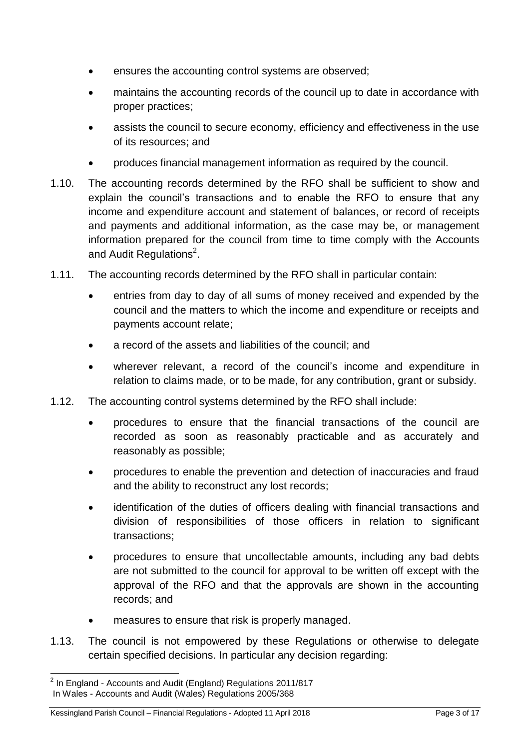- ensures the accounting control systems are observed;
- maintains the accounting records of the council up to date in accordance with proper practices;
- assists the council to secure economy, efficiency and effectiveness in the use of its resources; and
- produces financial management information as required by the council.
- 1.10. The accounting records determined by the RFO shall be sufficient to show and explain the council's transactions and to enable the RFO to ensure that any income and expenditure account and statement of balances, or record of receipts and payments and additional information, as the case may be, or management information prepared for the council from time to time comply with the Accounts and Audit Regulations<sup>2</sup>.
- 1.11. The accounting records determined by the RFO shall in particular contain:
	- entries from day to day of all sums of money received and expended by the council and the matters to which the income and expenditure or receipts and payments account relate;
	- a record of the assets and liabilities of the council; and
	- wherever relevant, a record of the council's income and expenditure in relation to claims made, or to be made, for any contribution, grant or subsidy.
- 1.12. The accounting control systems determined by the RFO shall include:
	- procedures to ensure that the financial transactions of the council are recorded as soon as reasonably practicable and as accurately and reasonably as possible;
	- procedures to enable the prevention and detection of inaccuracies and fraud and the ability to reconstruct any lost records;
	- identification of the duties of officers dealing with financial transactions and division of responsibilities of those officers in relation to significant transactions;
	- procedures to ensure that uncollectable amounts, including any bad debts are not submitted to the council for approval to be written off except with the approval of the RFO and that the approvals are shown in the accounting records; and
	- measures to ensure that risk is properly managed.
- 1.13. The council is not empowered by these Regulations or otherwise to delegate certain specified decisions. In particular any decision regarding:

 2 In England - Accounts and Audit (England) Regulations 2011/817 In Wales - Accounts and Audit (Wales) Regulations 2005/368

Kessingland Parish Council – Financial Regulations - Adopted 11 April 2018 **Page 3 of 17** Page 3 of 17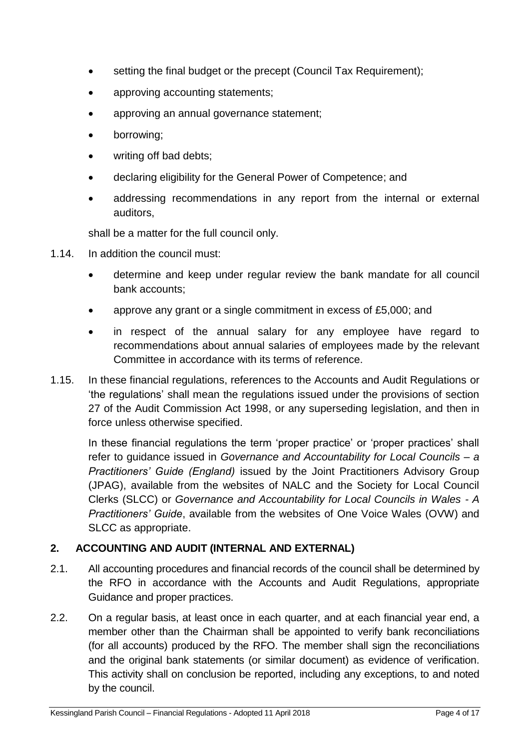- setting the final budget or the precept (Council Tax Requirement);
- approving accounting statements;
- approving an annual governance statement;
- borrowing;
- writing off bad debts;
- declaring eligibility for the General Power of Competence; and
- addressing recommendations in any report from the internal or external auditors,

shall be a matter for the full council only.

- 1.14. In addition the council must:
	- determine and keep under regular review the bank mandate for all council bank accounts;
	- approve any grant or a single commitment in excess of £5,000; and
	- in respect of the annual salary for any employee have regard to recommendations about annual salaries of employees made by the relevant Committee in accordance with its terms of reference.
- 1.15. In these financial regulations, references to the Accounts and Audit Regulations or 'the regulations' shall mean the regulations issued under the provisions of section 27 of the Audit Commission Act 1998, or any superseding legislation, and then in force unless otherwise specified.

In these financial regulations the term 'proper practice' or 'proper practices' shall refer to guidance issued in *Governance and Accountability for Local Councils – a Practitioners' Guide (England)* issued by the Joint Practitioners Advisory Group (JPAG), available from the websites of NALC and the Society for Local Council Clerks (SLCC) or *Governance and Accountability for Local Councils in Wales - A Practitioners' Guide*, available from the websites of One Voice Wales (OVW) and SLCC as appropriate.

## <span id="page-3-0"></span>**2. ACCOUNTING AND AUDIT (INTERNAL AND EXTERNAL)**

- 2.1. All accounting procedures and financial records of the council shall be determined by the RFO in accordance with the Accounts and Audit Regulations, appropriate Guidance and proper practices.
- 2.2. On a regular basis, at least once in each quarter, and at each financial year end, a member other than the Chairman shall be appointed to verify bank reconciliations (for all accounts) produced by the RFO. The member shall sign the reconciliations and the original bank statements (or similar document) as evidence of verification. This activity shall on conclusion be reported, including any exceptions, to and noted by the council.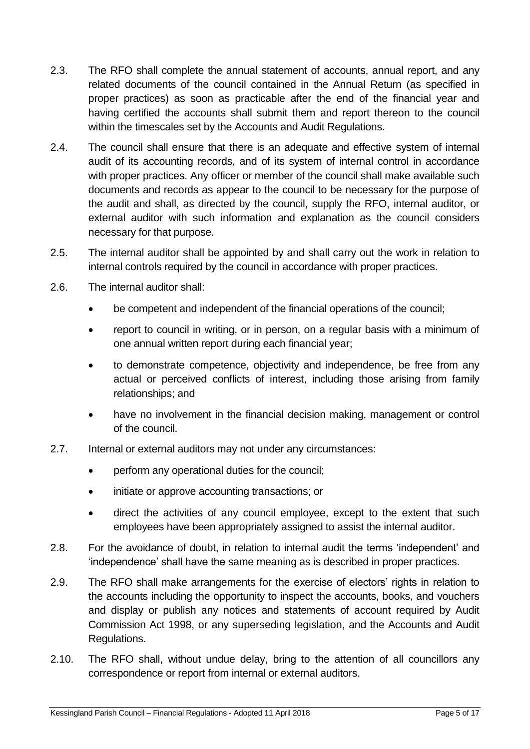- 2.3. The RFO shall complete the annual statement of accounts, annual report, and any related documents of the council contained in the Annual Return (as specified in proper practices) as soon as practicable after the end of the financial year and having certified the accounts shall submit them and report thereon to the council within the timescales set by the Accounts and Audit Regulations.
- 2.4. The council shall ensure that there is an adequate and effective system of internal audit of its accounting records, and of its system of internal control in accordance with proper practices. Any officer or member of the council shall make available such documents and records as appear to the council to be necessary for the purpose of the audit and shall, as directed by the council, supply the RFO, internal auditor, or external auditor with such information and explanation as the council considers necessary for that purpose.
- 2.5. The internal auditor shall be appointed by and shall carry out the work in relation to internal controls required by the council in accordance with proper practices.
- 2.6. The internal auditor shall:
	- be competent and independent of the financial operations of the council;
	- report to council in writing, or in person, on a regular basis with a minimum of one annual written report during each financial year;
	- to demonstrate competence, objectivity and independence, be free from any actual or perceived conflicts of interest, including those arising from family relationships; and
	- have no involvement in the financial decision making, management or control of the council.
- 2.7. Internal or external auditors may not under any circumstances:
	- perform any operational duties for the council;
	- initiate or approve accounting transactions; or
	- direct the activities of any council employee, except to the extent that such employees have been appropriately assigned to assist the internal auditor.
- 2.8. For the avoidance of doubt, in relation to internal audit the terms 'independent' and 'independence' shall have the same meaning as is described in proper practices.
- 2.9. The RFO shall make arrangements for the exercise of electors' rights in relation to the accounts including the opportunity to inspect the accounts, books, and vouchers and display or publish any notices and statements of account required by Audit Commission Act 1998, or any superseding legislation, and the Accounts and Audit Regulations.
- 2.10. The RFO shall, without undue delay, bring to the attention of all councillors any correspondence or report from internal or external auditors.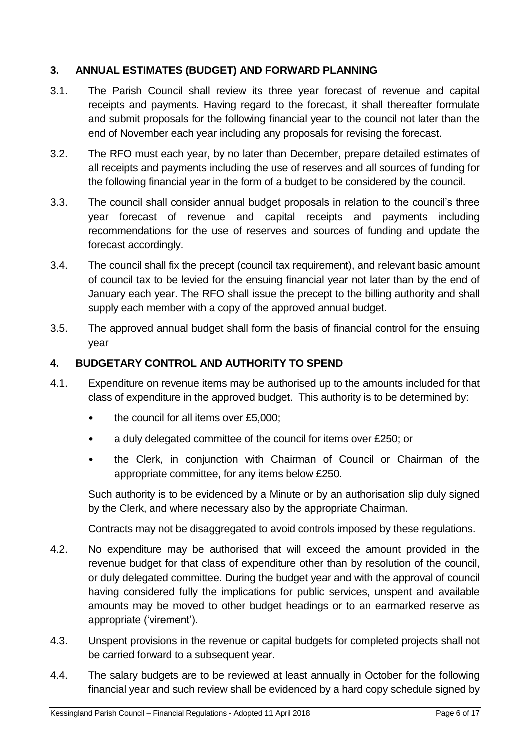## <span id="page-5-0"></span>**3. ANNUAL ESTIMATES (BUDGET) AND FORWARD PLANNING**

- 3.1. The Parish Council shall review its three year forecast of revenue and capital receipts and payments. Having regard to the forecast, it shall thereafter formulate and submit proposals for the following financial year to the council not later than the end of November each year including any proposals for revising the forecast.
- 3.2. The RFO must each year, by no later than December, prepare detailed estimates of all receipts and payments including the use of reserves and all sources of funding for the following financial year in the form of a budget to be considered by the council.
- 3.3. The council shall consider annual budget proposals in relation to the council's three year forecast of revenue and capital receipts and payments including recommendations for the use of reserves and sources of funding and update the forecast accordingly.
- 3.4. The council shall fix the precept (council tax requirement), and relevant basic amount of council tax to be levied for the ensuing financial year not later than by the end of January each year. The RFO shall issue the precept to the billing authority and shall supply each member with a copy of the approved annual budget.
- 3.5. The approved annual budget shall form the basis of financial control for the ensuing year

#### <span id="page-5-1"></span>**4. BUDGETARY CONTROL AND AUTHORITY TO SPEND**

- 4.1. Expenditure on revenue items may be authorised up to the amounts included for that class of expenditure in the approved budget. This authority is to be determined by:
	- the council for all items over £5,000;
	- a duly delegated committee of the council for items over £250; or
	- the Clerk, in conjunction with Chairman of Council or Chairman of the appropriate committee, for any items below £250.

Such authority is to be evidenced by a Minute or by an authorisation slip duly signed by the Clerk, and where necessary also by the appropriate Chairman.

Contracts may not be disaggregated to avoid controls imposed by these regulations.

- 4.2. No expenditure may be authorised that will exceed the amount provided in the revenue budget for that class of expenditure other than by resolution of the council, or duly delegated committee. During the budget year and with the approval of council having considered fully the implications for public services, unspent and available amounts may be moved to other budget headings or to an earmarked reserve as appropriate ('virement').
- 4.3. Unspent provisions in the revenue or capital budgets for completed projects shall not be carried forward to a subsequent year.
- 4.4. The salary budgets are to be reviewed at least annually in October for the following financial year and such review shall be evidenced by a hard copy schedule signed by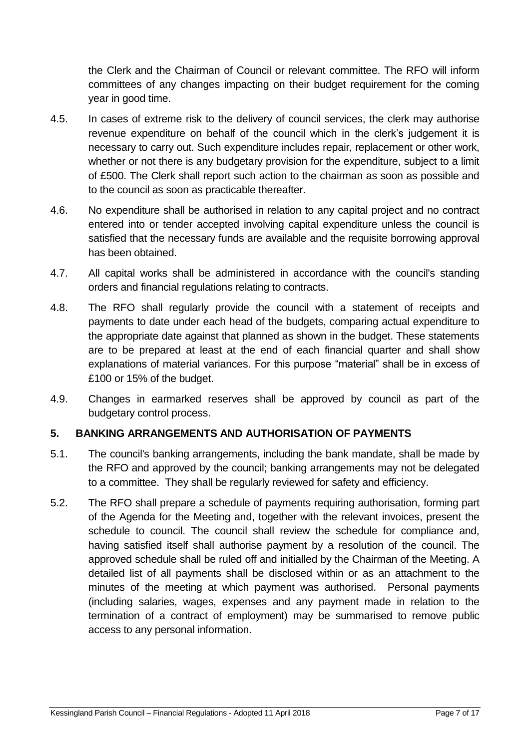the Clerk and the Chairman of Council or relevant committee. The RFO will inform committees of any changes impacting on their budget requirement for the coming year in good time.

- 4.5. In cases of extreme risk to the delivery of council services, the clerk may authorise revenue expenditure on behalf of the council which in the clerk's judgement it is necessary to carry out. Such expenditure includes repair, replacement or other work, whether or not there is any budgetary provision for the expenditure, subject to a limit of £500. The Clerk shall report such action to the chairman as soon as possible and to the council as soon as practicable thereafter.
- 4.6. No expenditure shall be authorised in relation to any capital project and no contract entered into or tender accepted involving capital expenditure unless the council is satisfied that the necessary funds are available and the requisite borrowing approval has been obtained.
- 4.7. All capital works shall be administered in accordance with the council's standing orders and financial regulations relating to contracts.
- 4.8. The RFO shall regularly provide the council with a statement of receipts and payments to date under each head of the budgets, comparing actual expenditure to the appropriate date against that planned as shown in the budget. These statements are to be prepared at least at the end of each financial quarter and shall show explanations of material variances. For this purpose "material" shall be in excess of £100 or 15% of the budget.
- 4.9. Changes in earmarked reserves shall be approved by council as part of the budgetary control process.

## <span id="page-6-0"></span>**5. BANKING ARRANGEMENTS AND AUTHORISATION OF PAYMENTS**

- 5.1. The council's banking arrangements, including the bank mandate, shall be made by the RFO and approved by the council; banking arrangements may not be delegated to a committee. They shall be regularly reviewed for safety and efficiency.
- 5.2. The RFO shall prepare a schedule of payments requiring authorisation, forming part of the Agenda for the Meeting and, together with the relevant invoices, present the schedule to council. The council shall review the schedule for compliance and, having satisfied itself shall authorise payment by a resolution of the council. The approved schedule shall be ruled off and initialled by the Chairman of the Meeting. A detailed list of all payments shall be disclosed within or as an attachment to the minutes of the meeting at which payment was authorised. Personal payments (including salaries, wages, expenses and any payment made in relation to the termination of a contract of employment) may be summarised to remove public access to any personal information.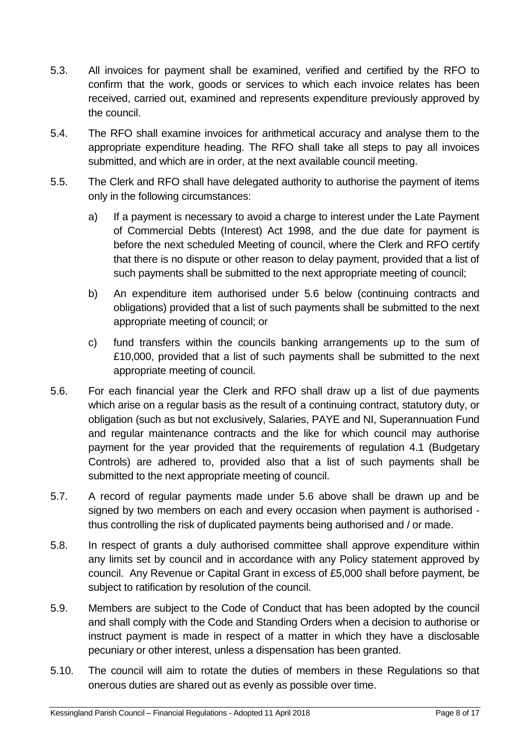- 5.3. All invoices for payment shall be examined, verified and certified by the RFO to confirm that the work, goods or services to which each invoice relates has been received, carried out, examined and represents expenditure previously approved by the council.
- 5.4. The RFO shall examine invoices for arithmetical accuracy and analyse them to the appropriate expenditure heading. The RFO shall take all steps to pay all invoices submitted, and which are in order, at the next available council meeting.
- 5.5. The Clerk and RFO shall have delegated authority to authorise the payment of items only in the following circumstances:
	- a) If a payment is necessary to avoid a charge to interest under the Late Payment of Commercial Debts (Interest) Act 1998, and the due date for payment is before the next scheduled Meeting of council, where the Clerk and RFO certify that there is no dispute or other reason to delay payment, provided that a list of such payments shall be submitted to the next appropriate meeting of council;
	- b) An expenditure item authorised under 5.6 below (continuing contracts and obligations) provided that a list of such payments shall be submitted to the next appropriate meeting of council; or
	- c) fund transfers within the councils banking arrangements up to the sum of £10,000, provided that a list of such payments shall be submitted to the next appropriate meeting of council.
- 5.6. For each financial year the Clerk and RFO shall draw up a list of due payments which arise on a regular basis as the result of a continuing contract, statutory duty, or obligation (such as but not exclusively, Salaries, PAYE and NI, Superannuation Fund and regular maintenance contracts and the like for which council may authorise payment for the year provided that the requirements of regulation 4.1 (Budgetary Controls) are adhered to, provided also that a list of such payments shall be submitted to the next appropriate meeting of council.
- 5.7. A record of regular payments made under 5.6 above shall be drawn up and be signed by two members on each and every occasion when payment is authorised thus controlling the risk of duplicated payments being authorised and / or made.
- 5.8. In respect of grants a duly authorised committee shall approve expenditure within any limits set by council and in accordance with any Policy statement approved by council. Any Revenue or Capital Grant in excess of £5,000 shall before payment, be subject to ratification by resolution of the council.
- 5.9. Members are subject to the Code of Conduct that has been adopted by the council and shall comply with the Code and Standing Orders when a decision to authorise or instruct payment is made in respect of a matter in which they have a disclosable pecuniary or other interest, unless a dispensation has been granted.
- 5.10. The council will aim to rotate the duties of members in these Regulations so that onerous duties are shared out as evenly as possible over time.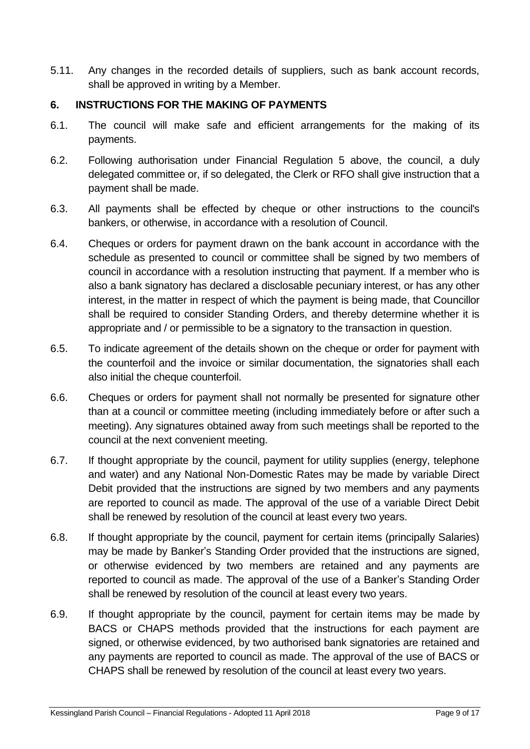5.11. Any changes in the recorded details of suppliers, such as bank account records, shall be approved in writing by a Member.

## <span id="page-8-0"></span>**6. INSTRUCTIONS FOR THE MAKING OF PAYMENTS**

- 6.1. The council will make safe and efficient arrangements for the making of its payments.
- 6.2. Following authorisation under Financial Regulation 5 above, the council, a duly delegated committee or, if so delegated, the Clerk or RFO shall give instruction that a payment shall be made.
- 6.3. All payments shall be effected by cheque or other instructions to the council's bankers, or otherwise, in accordance with a resolution of Council.
- 6.4. Cheques or orders for payment drawn on the bank account in accordance with the schedule as presented to council or committee shall be signed by two members of council in accordance with a resolution instructing that payment. If a member who is also a bank signatory has declared a disclosable pecuniary interest, or has any other interest, in the matter in respect of which the payment is being made, that Councillor shall be required to consider Standing Orders, and thereby determine whether it is appropriate and / or permissible to be a signatory to the transaction in question.
- 6.5. To indicate agreement of the details shown on the cheque or order for payment with the counterfoil and the invoice or similar documentation, the signatories shall each also initial the cheque counterfoil.
- 6.6. Cheques or orders for payment shall not normally be presented for signature other than at a council or committee meeting (including immediately before or after such a meeting). Any signatures obtained away from such meetings shall be reported to the council at the next convenient meeting.
- 6.7. If thought appropriate by the council, payment for utility supplies (energy, telephone and water) and any National Non-Domestic Rates may be made by variable Direct Debit provided that the instructions are signed by two members and any payments are reported to council as made. The approval of the use of a variable Direct Debit shall be renewed by resolution of the council at least every two years.
- 6.8. If thought appropriate by the council, payment for certain items (principally Salaries) may be made by Banker's Standing Order provided that the instructions are signed, or otherwise evidenced by two members are retained and any payments are reported to council as made. The approval of the use of a Banker's Standing Order shall be renewed by resolution of the council at least every two years.
- 6.9. If thought appropriate by the council, payment for certain items may be made by BACS or CHAPS methods provided that the instructions for each payment are signed, or otherwise evidenced, by two authorised bank signatories are retained and any payments are reported to council as made. The approval of the use of BACS or CHAPS shall be renewed by resolution of the council at least every two years.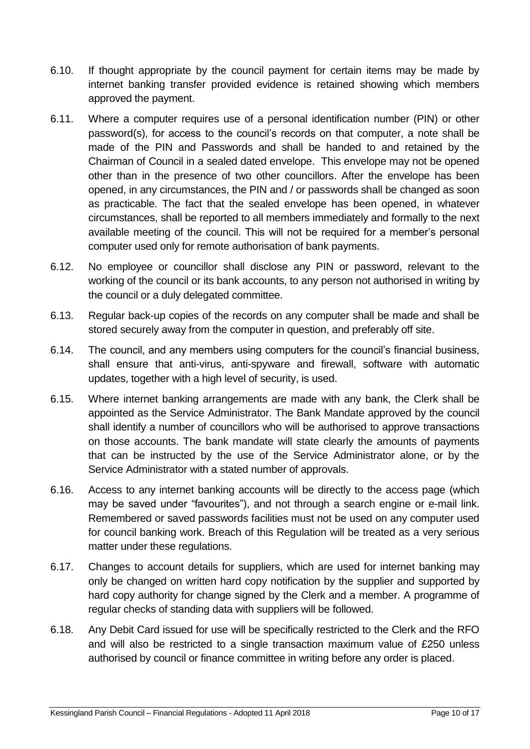- 6.10. If thought appropriate by the council payment for certain items may be made by internet banking transfer provided evidence is retained showing which members approved the payment.
- 6.11. Where a computer requires use of a personal identification number (PIN) or other password(s), for access to the council's records on that computer, a note shall be made of the PIN and Passwords and shall be handed to and retained by the Chairman of Council in a sealed dated envelope. This envelope may not be opened other than in the presence of two other councillors. After the envelope has been opened, in any circumstances, the PIN and / or passwords shall be changed as soon as practicable. The fact that the sealed envelope has been opened, in whatever circumstances, shall be reported to all members immediately and formally to the next available meeting of the council. This will not be required for a member's personal computer used only for remote authorisation of bank payments.
- 6.12. No employee or councillor shall disclose any PIN or password, relevant to the working of the council or its bank accounts, to any person not authorised in writing by the council or a duly delegated committee.
- 6.13. Regular back-up copies of the records on any computer shall be made and shall be stored securely away from the computer in question, and preferably off site.
- 6.14. The council, and any members using computers for the council's financial business, shall ensure that anti-virus, anti-spyware and firewall, software with automatic updates, together with a high level of security, is used.
- 6.15. Where internet banking arrangements are made with any bank, the Clerk shall be appointed as the Service Administrator. The Bank Mandate approved by the council shall identify a number of councillors who will be authorised to approve transactions on those accounts. The bank mandate will state clearly the amounts of payments that can be instructed by the use of the Service Administrator alone, or by the Service Administrator with a stated number of approvals.
- 6.16. Access to any internet banking accounts will be directly to the access page (which may be saved under "favourites"), and not through a search engine or e-mail link. Remembered or saved passwords facilities must not be used on any computer used for council banking work. Breach of this Regulation will be treated as a very serious matter under these regulations.
- 6.17. Changes to account details for suppliers, which are used for internet banking may only be changed on written hard copy notification by the supplier and supported by hard copy authority for change signed by the Clerk and a member. A programme of regular checks of standing data with suppliers will be followed.
- 6.18. Any Debit Card issued for use will be specifically restricted to the Clerk and the RFO and will also be restricted to a single transaction maximum value of £250 unless authorised by council or finance committee in writing before any order is placed.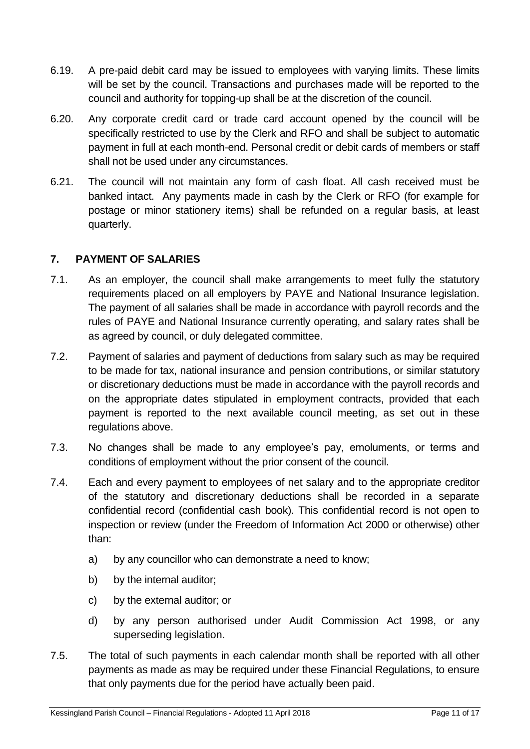- 6.19. A pre-paid debit card may be issued to employees with varying limits. These limits will be set by the council. Transactions and purchases made will be reported to the council and authority for topping-up shall be at the discretion of the council.
- 6.20. Any corporate credit card or trade card account opened by the council will be specifically restricted to use by the Clerk and RFO and shall be subject to automatic payment in full at each month-end. Personal credit or debit cards of members or staff shall not be used under any circumstances.
- 6.21. The council will not maintain any form of cash float. All cash received must be banked intact. Any payments made in cash by the Clerk or RFO (for example for postage or minor stationery items) shall be refunded on a regular basis, at least quarterly.

## <span id="page-10-0"></span>**7. PAYMENT OF SALARIES**

- 7.1. As an employer, the council shall make arrangements to meet fully the statutory requirements placed on all employers by PAYE and National Insurance legislation. The payment of all salaries shall be made in accordance with payroll records and the rules of PAYE and National Insurance currently operating, and salary rates shall be as agreed by council, or duly delegated committee.
- 7.2. Payment of salaries and payment of deductions from salary such as may be required to be made for tax, national insurance and pension contributions, or similar statutory or discretionary deductions must be made in accordance with the payroll records and on the appropriate dates stipulated in employment contracts, provided that each payment is reported to the next available council meeting, as set out in these regulations above.
- 7.3. No changes shall be made to any employee's pay, emoluments, or terms and conditions of employment without the prior consent of the council.
- 7.4. Each and every payment to employees of net salary and to the appropriate creditor of the statutory and discretionary deductions shall be recorded in a separate confidential record (confidential cash book). This confidential record is not open to inspection or review (under the Freedom of Information Act 2000 or otherwise) other than:
	- a) by any councillor who can demonstrate a need to know;
	- b) by the internal auditor;
	- c) by the external auditor; or
	- d) by any person authorised under Audit Commission Act 1998, or any superseding legislation.
- 7.5. The total of such payments in each calendar month shall be reported with all other payments as made as may be required under these Financial Regulations, to ensure that only payments due for the period have actually been paid.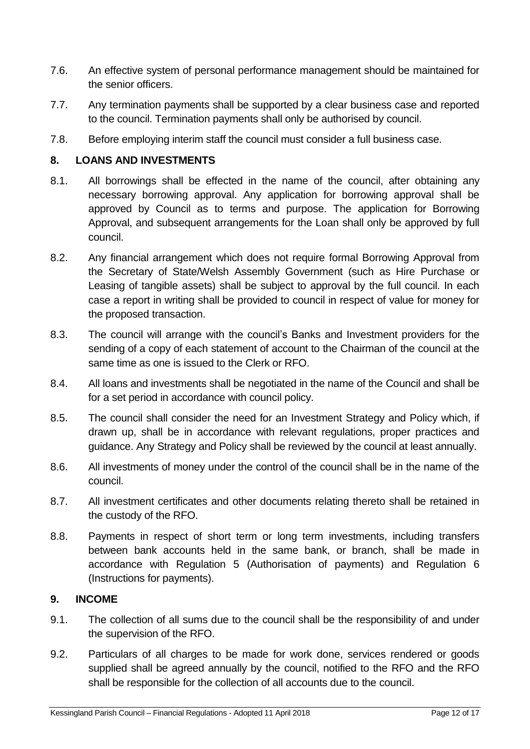- 7.6. An effective system of personal performance management should be maintained for the senior officers.
- 7.7. Any termination payments shall be supported by a clear business case and reported to the council. Termination payments shall only be authorised by council.
- 7.8. Before employing interim staff the council must consider a full business case.

## <span id="page-11-0"></span>**8. LOANS AND INVESTMENTS**

- 8.1. All borrowings shall be effected in the name of the council, after obtaining any necessary borrowing approval. Any application for borrowing approval shall be approved by Council as to terms and purpose. The application for Borrowing Approval, and subsequent arrangements for the Loan shall only be approved by full council.
- 8.2. Any financial arrangement which does not require formal Borrowing Approval from the Secretary of State/Welsh Assembly Government (such as Hire Purchase or Leasing of tangible assets) shall be subject to approval by the full council. In each case a report in writing shall be provided to council in respect of value for money for the proposed transaction.
- 8.3. The council will arrange with the council's Banks and Investment providers for the sending of a copy of each statement of account to the Chairman of the council at the same time as one is issued to the Clerk or RFO.
- 8.4. All loans and investments shall be negotiated in the name of the Council and shall be for a set period in accordance with council policy.
- 8.5. The council shall consider the need for an Investment Strategy and Policy which, if drawn up, shall be in accordance with relevant regulations, proper practices and guidance. Any Strategy and Policy shall be reviewed by the council at least annually.
- 8.6. All investments of money under the control of the council shall be in the name of the council.
- 8.7. All investment certificates and other documents relating thereto shall be retained in the custody of the RFO.
- 8.8. Payments in respect of short term or long term investments, including transfers between bank accounts held in the same bank, or branch, shall be made in accordance with Regulation 5 (Authorisation of payments) and Regulation 6 (Instructions for payments).

## <span id="page-11-1"></span>**9. INCOME**

- 9.1. The collection of all sums due to the council shall be the responsibility of and under the supervision of the RFO.
- 9.2. Particulars of all charges to be made for work done, services rendered or goods supplied shall be agreed annually by the council, notified to the RFO and the RFO shall be responsible for the collection of all accounts due to the council.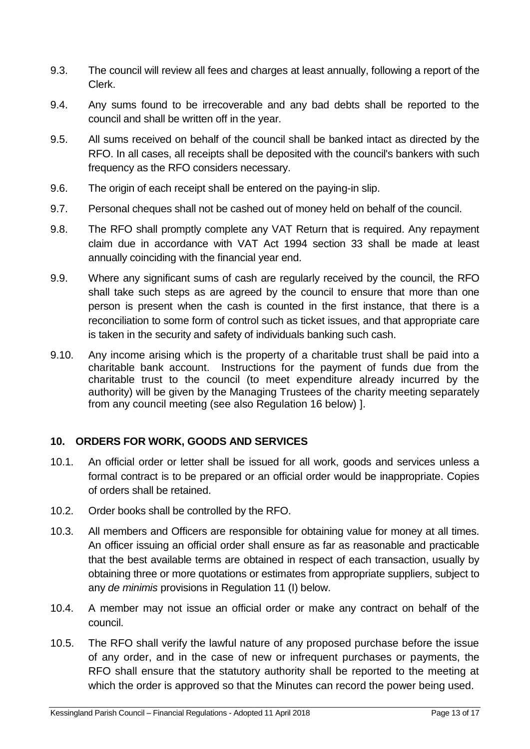- 9.3. The council will review all fees and charges at least annually, following a report of the Clerk.
- 9.4. Any sums found to be irrecoverable and any bad debts shall be reported to the council and shall be written off in the year.
- 9.5. All sums received on behalf of the council shall be banked intact as directed by the RFO. In all cases, all receipts shall be deposited with the council's bankers with such frequency as the RFO considers necessary.
- 9.6. The origin of each receipt shall be entered on the paying-in slip.
- 9.7. Personal cheques shall not be cashed out of money held on behalf of the council.
- 9.8. The RFO shall promptly complete any VAT Return that is required. Any repayment claim due in accordance with VAT Act 1994 section 33 shall be made at least annually coinciding with the financial year end.
- 9.9. Where any significant sums of cash are regularly received by the council, the RFO shall take such steps as are agreed by the council to ensure that more than one person is present when the cash is counted in the first instance, that there is a reconciliation to some form of control such as ticket issues, and that appropriate care is taken in the security and safety of individuals banking such cash.
- 9.10. Any income arising which is the property of a charitable trust shall be paid into a charitable bank account. Instructions for the payment of funds due from the charitable trust to the council (to meet expenditure already incurred by the authority) will be given by the Managing Trustees of the charity meeting separately from any council meeting (see also Regulation 16 below) ].

## <span id="page-12-0"></span>**10. ORDERS FOR WORK, GOODS AND SERVICES**

- 10.1. An official order or letter shall be issued for all work, goods and services unless a formal contract is to be prepared or an official order would be inappropriate. Copies of orders shall be retained.
- 10.2. Order books shall be controlled by the RFO.
- 10.3. All members and Officers are responsible for obtaining value for money at all times. An officer issuing an official order shall ensure as far as reasonable and practicable that the best available terms are obtained in respect of each transaction, usually by obtaining three or more quotations or estimates from appropriate suppliers, subject to any *de minimis* provisions in Regulation 11 (I) below.
- 10.4. A member may not issue an official order or make any contract on behalf of the council.
- 10.5. The RFO shall verify the lawful nature of any proposed purchase before the issue of any order, and in the case of new or infrequent purchases or payments, the RFO shall ensure that the statutory authority shall be reported to the meeting at which the order is approved so that the Minutes can record the power being used.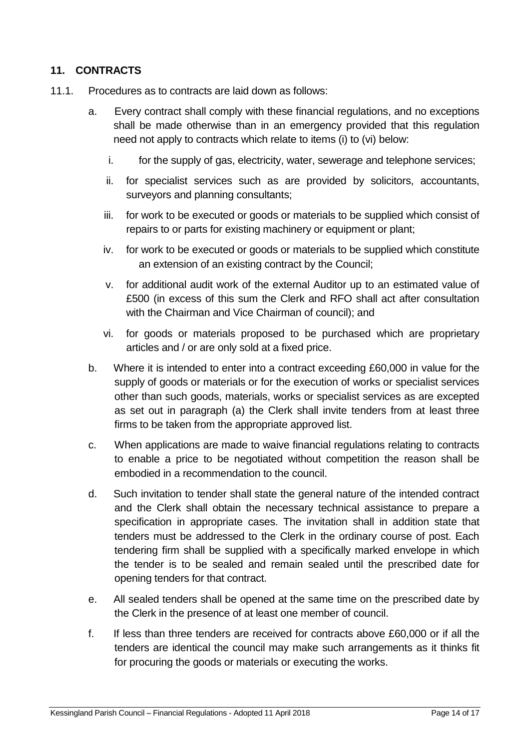## <span id="page-13-0"></span>**11. CONTRACTS**

- 11.1. Procedures as to contracts are laid down as follows:
	- a. Every contract shall comply with these financial regulations, and no exceptions shall be made otherwise than in an emergency provided that this regulation need not apply to contracts which relate to items (i) to (vi) below:
		- i. for the supply of gas, electricity, water, sewerage and telephone services;
		- ii. for specialist services such as are provided by solicitors, accountants, surveyors and planning consultants;
		- iii. for work to be executed or goods or materials to be supplied which consist of repairs to or parts for existing machinery or equipment or plant;
		- iv. for work to be executed or goods or materials to be supplied which constitute an extension of an existing contract by the Council;
		- v. for additional audit work of the external Auditor up to an estimated value of £500 (in excess of this sum the Clerk and RFO shall act after consultation with the Chairman and Vice Chairman of council); and
		- vi. for goods or materials proposed to be purchased which are proprietary articles and / or are only sold at a fixed price.
	- b. Where it is intended to enter into a contract exceeding £60,000 in value for the supply of goods or materials or for the execution of works or specialist services other than such goods, materials, works or specialist services as are excepted as set out in paragraph (a) the Clerk shall invite tenders from at least three firms to be taken from the appropriate approved list.
	- c. When applications are made to waive financial regulations relating to contracts to enable a price to be negotiated without competition the reason shall be embodied in a recommendation to the council.
	- d. Such invitation to tender shall state the general nature of the intended contract and the Clerk shall obtain the necessary technical assistance to prepare a specification in appropriate cases. The invitation shall in addition state that tenders must be addressed to the Clerk in the ordinary course of post. Each tendering firm shall be supplied with a specifically marked envelope in which the tender is to be sealed and remain sealed until the prescribed date for opening tenders for that contract.
	- e. All sealed tenders shall be opened at the same time on the prescribed date by the Clerk in the presence of at least one member of council.
	- f. If less than three tenders are received for contracts above £60,000 or if all the tenders are identical the council may make such arrangements as it thinks fit for procuring the goods or materials or executing the works.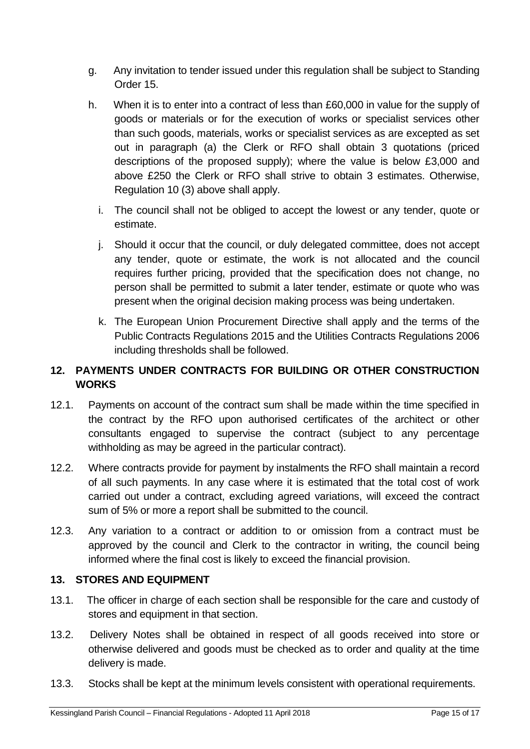- g. Any invitation to tender issued under this regulation shall be subject to Standing Order 15.
- h. When it is to enter into a contract of less than £60,000 in value for the supply of goods or materials or for the execution of works or specialist services other than such goods, materials, works or specialist services as are excepted as set out in paragraph (a) the Clerk or RFO shall obtain 3 quotations (priced descriptions of the proposed supply); where the value is below £3,000 and above £250 the Clerk or RFO shall strive to obtain 3 estimates. Otherwise, Regulation 10 (3) above shall apply.
	- i. The council shall not be obliged to accept the lowest or any tender, quote or estimate.
	- j. Should it occur that the council, or duly delegated committee, does not accept any tender, quote or estimate, the work is not allocated and the council requires further pricing, provided that the specification does not change, no person shall be permitted to submit a later tender, estimate or quote who was present when the original decision making process was being undertaken.
	- k. The European Union Procurement Directive shall apply and the terms of the Public Contracts Regulations 2015 and the Utilities Contracts Regulations 2006 including thresholds shall be followed.

## <span id="page-14-0"></span>**12. PAYMENTS UNDER CONTRACTS FOR BUILDING OR OTHER CONSTRUCTION WORKS**

- 12.1. Payments on account of the contract sum shall be made within the time specified in the contract by the RFO upon authorised certificates of the architect or other consultants engaged to supervise the contract (subject to any percentage withholding as may be agreed in the particular contract).
- 12.2. Where contracts provide for payment by instalments the RFO shall maintain a record of all such payments. In any case where it is estimated that the total cost of work carried out under a contract, excluding agreed variations, will exceed the contract sum of 5% or more a report shall be submitted to the council.
- 12.3. Any variation to a contract or addition to or omission from a contract must be approved by the council and Clerk to the contractor in writing, the council being informed where the final cost is likely to exceed the financial provision.

## <span id="page-14-1"></span>**13. STORES AND EQUIPMENT**

- 13.1. The officer in charge of each section shall be responsible for the care and custody of stores and equipment in that section.
- 13.2. Delivery Notes shall be obtained in respect of all goods received into store or otherwise delivered and goods must be checked as to order and quality at the time delivery is made.
- 13.3. Stocks shall be kept at the minimum levels consistent with operational requirements.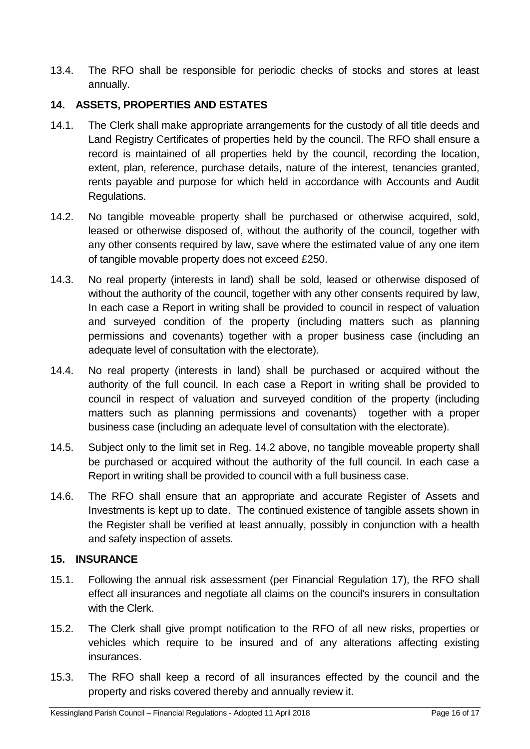13.4. The RFO shall be responsible for periodic checks of stocks and stores at least annually.

#### <span id="page-15-0"></span>**14. ASSETS, PROPERTIES AND ESTATES**

- 14.1. The Clerk shall make appropriate arrangements for the custody of all title deeds and Land Registry Certificates of properties held by the council. The RFO shall ensure a record is maintained of all properties held by the council, recording the location, extent, plan, reference, purchase details, nature of the interest, tenancies granted, rents payable and purpose for which held in accordance with Accounts and Audit Regulations.
- 14.2. No tangible moveable property shall be purchased or otherwise acquired, sold, leased or otherwise disposed of, without the authority of the council, together with any other consents required by law, save where the estimated value of any one item of tangible movable property does not exceed £250.
- 14.3. No real property (interests in land) shall be sold, leased or otherwise disposed of without the authority of the council, together with any other consents required by law, In each case a Report in writing shall be provided to council in respect of valuation and surveyed condition of the property (including matters such as planning permissions and covenants) together with a proper business case (including an adequate level of consultation with the electorate).
- 14.4. No real property (interests in land) shall be purchased or acquired without the authority of the full council. In each case a Report in writing shall be provided to council in respect of valuation and surveyed condition of the property (including matters such as planning permissions and covenants) together with a proper business case (including an adequate level of consultation with the electorate).
- 14.5. Subject only to the limit set in Reg. 14.2 above, no tangible moveable property shall be purchased or acquired without the authority of the full council. In each case a Report in writing shall be provided to council with a full business case.
- 14.6. The RFO shall ensure that an appropriate and accurate Register of Assets and Investments is kept up to date. The continued existence of tangible assets shown in the Register shall be verified at least annually, possibly in conjunction with a health and safety inspection of assets.

#### <span id="page-15-1"></span>**15. INSURANCE**

- 15.1. Following the annual risk assessment (per Financial Regulation 17), the RFO shall effect all insurances and negotiate all claims on the council's insurers in consultation with the Clerk.
- 15.2. The Clerk shall give prompt notification to the RFO of all new risks, properties or vehicles which require to be insured and of any alterations affecting existing insurances.
- 15.3. The RFO shall keep a record of all insurances effected by the council and the property and risks covered thereby and annually review it.